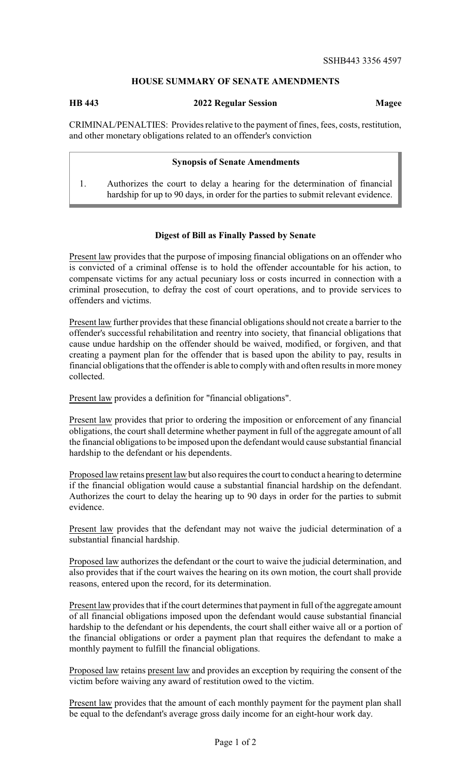## **HOUSE SUMMARY OF SENATE AMENDMENTS**

## **HB 443 2022 Regular Session Magee**

CRIMINAL/PENALTIES: Provides relative to the payment of fines, fees, costs, restitution, and other monetary obligations related to an offender's conviction

## **Synopsis of Senate Amendments**

1. Authorizes the court to delay a hearing for the determination of financial hardship for up to 90 days, in order for the parties to submit relevant evidence.

## **Digest of Bill as Finally Passed by Senate**

Present law provides that the purpose of imposing financial obligations on an offender who is convicted of a criminal offense is to hold the offender accountable for his action, to compensate victims for any actual pecuniary loss or costs incurred in connection with a criminal prosecution, to defray the cost of court operations, and to provide services to offenders and victims.

Present law further provides that these financial obligations should not create a barrier to the offender's successful rehabilitation and reentry into society, that financial obligations that cause undue hardship on the offender should be waived, modified, or forgiven, and that creating a payment plan for the offender that is based upon the ability to pay, results in financial obligations that the offender is able to complywith and often results in more money collected.

Present law provides a definition for "financial obligations".

Present law provides that prior to ordering the imposition or enforcement of any financial obligations, the court shall determine whether payment in full of the aggregate amount of all the financial obligations to be imposed upon the defendant would cause substantial financial hardship to the defendant or his dependents.

Proposed law retains present law but also requires the court to conduct a hearing to determine if the financial obligation would cause a substantial financial hardship on the defendant. Authorizes the court to delay the hearing up to 90 days in order for the parties to submit evidence.

Present law provides that the defendant may not waive the judicial determination of a substantial financial hardship.

Proposed law authorizes the defendant or the court to waive the judicial determination, and also provides that if the court waives the hearing on its own motion, the court shall provide reasons, entered upon the record, for its determination.

Present law provides that if the court determines that payment in full of the aggregate amount of all financial obligations imposed upon the defendant would cause substantial financial hardship to the defendant or his dependents, the court shall either waive all or a portion of the financial obligations or order a payment plan that requires the defendant to make a monthly payment to fulfill the financial obligations.

Proposed law retains present law and provides an exception by requiring the consent of the victim before waiving any award of restitution owed to the victim.

Present law provides that the amount of each monthly payment for the payment plan shall be equal to the defendant's average gross daily income for an eight-hour work day.